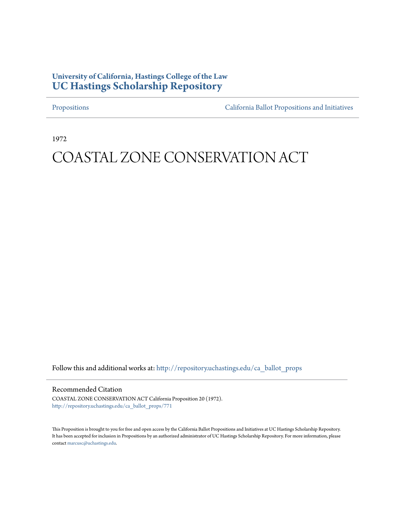# **University of California, Hastings College of the Law [UC Hastings Scholarship Repository](http://repository.uchastings.edu?utm_source=repository.uchastings.edu%2Fca_ballot_props%2F771&utm_medium=PDF&utm_campaign=PDFCoverPages)**

[Propositions](http://repository.uchastings.edu/ca_ballot_props?utm_source=repository.uchastings.edu%2Fca_ballot_props%2F771&utm_medium=PDF&utm_campaign=PDFCoverPages) [California Ballot Propositions and Initiatives](http://repository.uchastings.edu/ca_ballots?utm_source=repository.uchastings.edu%2Fca_ballot_props%2F771&utm_medium=PDF&utm_campaign=PDFCoverPages)

1972

# COASTAL ZONE CONSERVATION ACT

Follow this and additional works at: [http://repository.uchastings.edu/ca\\_ballot\\_props](http://repository.uchastings.edu/ca_ballot_props?utm_source=repository.uchastings.edu%2Fca_ballot_props%2F771&utm_medium=PDF&utm_campaign=PDFCoverPages)

## Recommended Citation

COASTAL ZONE CONSERVATION ACT California Proposition 20 (1972). [http://repository.uchastings.edu/ca\\_ballot\\_props/771](http://repository.uchastings.edu/ca_ballot_props/771?utm_source=repository.uchastings.edu%2Fca_ballot_props%2F771&utm_medium=PDF&utm_campaign=PDFCoverPages)

This Proposition is brought to you for free and open access by the California Ballot Propositions and Initiatives at UC Hastings Scholarship Repository. It has been accepted for inclusion in Propositions by an authorized administrator of UC Hastings Scholarship Repository. For more information, please contact [marcusc@uchastings.edu](mailto:marcusc@uchastings.edu).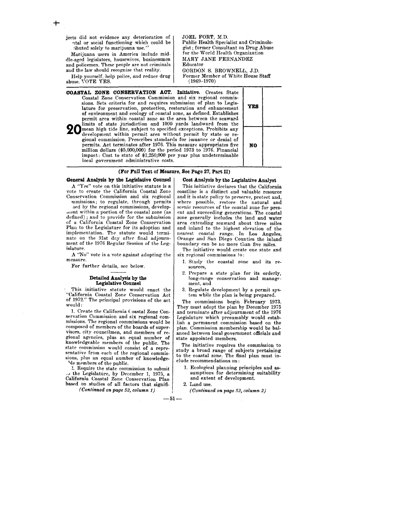jects did not evidence any deterioration of ntal or social functioning which could be .'ibuted solely to marijuana use."

Marijuana users in America include middle-aged legislators, housewives, businessmen and policemen. These people are not criminals and the law should recognize that reality.

Help yourself, help police, and reduce drug abuse. VOTE YES.

JOEL FORT, M.D. Public Health Specialist and Criminologist; former Consultant on Drug Abuse for the World Health Organization MARY JANE FERNANDEZ Educator GORDON S. BROWNELL, J.D,

Former Member of White House Staff (1969-1970)

COASTAL ZONE CONSERVATION ACT. Initiative. Creates State Coastal Zone Conservation Commission and six regional commissions. Sets criteria for and requires submission of plan to Legislature for preservation, protection, restoration and enhancement of environment and ecology of coastal zone, as defined. Establishes permit area within coastal zone as the area between the seaward limits of state jurisdiction and 1000 yards landward from the **20** mean high tide line, subject to specified exceptions. Prohibits any development within permit area without permit by state or regional commission. Prescribes standards for issuance or denial of permits. Act terminates after 1976. This measure appropriates five million dollars (\$5,000,000) for the period 1973 to 1976. Financial impact: Cost to state of \$1,250,000 per year plus undeterminable local government administrative costs.

#### (For Full Text of Measure, See Page 27, Part U)

General Analysis by the Legislative Counsel

A "Yes" vote on this initiative statute is a vote to create the California Coastal Zone Conservation Commission and six regional mmissions; to regulate, through permits

aed by the regional commissions, development within a portion of the coastal zone (as defined) ; and to provide for the submission of a California Coastal Zone Conservation Plan to the Legislature for its adoption and implementation. The statute would terminate on the 91st day after final adjournment of the 1976 Regular Session of the Legislature.

A "No" vote is a vote against adopting the measure.

For further details, see below.

#### Detailed Analysis by the Legislative Counsel

This initiative statute would enact the "California Coastal Zone Conservation Act of 1972." The principal provisions of the act would:

1. Create the California Coastal Zone Conservation Commission and six regional commissions. The regional commissions would be composed of members of the boards of supervisors, city councilmen, and members of regional agencies, plus an equal number of knowledgeable members of the public, The state commission would consist of a representative from each of the regional commissions, plus an equal number of knowledge- '>Ie members of the public.

3. Require the state commission to submit \_J the Legislature, by December 1, 1975, a California Coastal Zone Conservation Plan based on studies of all factors that signifi-

*(Continued on page* 52, *column 1)* 

#### Cost Analysis by the Legislative Analyst

This initiative declares that the California coastline is a distinct and valuable resource and it is state policy to preserve, protect and, where possible, restore the natural and scenic resources of the coastal zone for present and succeeding generations. The coastal zone generally includes the land and water area extending seaward about three miles and inland to the highest elevation of the nearest coastal range. In Los Angeles, Orange and San Diego Counties the inland boundary can be no more than five miles.

The initiative would create one state and six regional commissions to:

- 1. Study the coastal zone and its resources,
- 2. Prepare a state plan for its orderly, long-range conservation and management, and
- 3. Regulate development by a permit system while the plan is being prepared.

The commissions begin February 1973, They must adopt the plan by December 1975 and terminate after adjournment of the 1976 Legislature which presumably would establish a permanent commission based on the plan. Commission membership would be balanced between local government officials and state appointed members.

The initiative requires the commission to study a broad range of subjects pertaining to the coastal zone. The final plan must include recommendations on:

1. Ecological planning principles and assumptions for determining suitability and extent of development.

2. Land use.

*(Continued on page* 52, *column 2)* 

 $-51-$ 

YES NO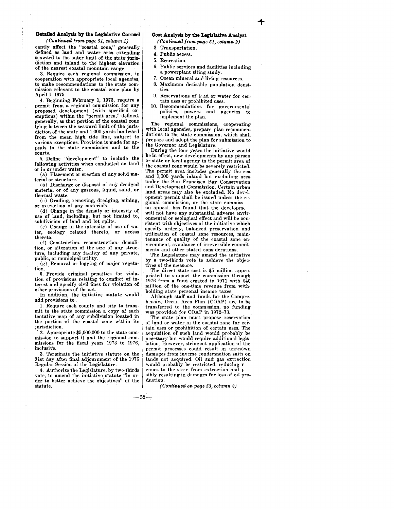### **Detailed Analyaia by the Legislative Counsel**

*(Continued from page* 51, *column 1)*  cantly affect the "coastal zone," generally defined as land and water area extending seaward to the outer limit of the state jurisdiction and inland to the highest elevation of the nearest coastal mountain range.

3. Require each regional commission, in cooperation with appropriate local agencies, to make recommendations to the state com- mission relevant to the coastal zone plan by April 1, 1975.

4. Beginning February 1, 1973, require a permit from a regional commission for any proposed development (with specified exemptions) within the "permit area," defined, generally, as that portion of the coastal zone lying between the seaward limit of the jurisdiction of the state and 1,000 yards landward from the mean high tide line, subject to various exceptions. Provision is made for appeals to the state eommission and to the courts.

5. Define "development" to include the following activities when conducted on land or in or under water:

(a) Placement or erection of any solid material or structure.

(b) Discharge or disposal of any dredged material or of any gaseous, liquid, solid, or thermal waste.

(c) Grading, removing, dredging, mining, or extraction of any materials.

(d) Change in the density or intensity of. use of land, including, but not limited to, subdivision of land and lot splits.

(e) Change in the intensity of use of water, ecology related thereto, or aecess thereto.

(f) Construction, reconstruction, demolition, or alteration of the size of any structure, including any facility of any private, public, or municipal utility.

(g) Removal or logg:ng of major vegetation.

6. Provide criminal penalties for violation of provisions relating to conflict of interest and specify civil fines for violation of other provisions of the act.

In addition, the initiative statute would add provisions to :

L Require each county and city to transmit to the state commission a copy of each tentative map of any subdivision located in . the portion of the coastal zone within its jurisdiction.

. 2. Appropriate \$5,000,000 to the state commission to support it and the regional commissions for the fiscal years 1973 to 1976, inclusive.

3. Terminate the initiative statute on the 91st day after final adjournment of the 1976 Regular Session of the Legislature.

4. Authorize the Legislature, by two-thirds vote, to amend the initiative statute "in order to better achieve the objectives" of the statute.

## **Cost Analysis by the Legislative Analyst**

*(Continued from page* 51, *column 2)* 

- 3. Transportation.
- 4, Public access.
- 5. Recreation.
- 6. Public services and facilities including a powerplant siting study.
- 7. Ocean mineral and living resources.
- 8. Maximum desirable population densities.
- 9. Reservations of land or water for certain uses or prohibited uses.
- 10. Recommendations for governmental policies, powers and agencies to policies, powers and implement the plan.

The regional commissions, cooperating with local agencies, prepare plan recommendations to the state commission, which shall prepare and adopt the plan for submission to the Governor and Legislature.

During the four years the initiative would be in effect, new developments by any person or state or local agency in the permit area of the coastal zone would be severely restricted. The permit area includes generally the sea and 1,000 yards inland but excluding area under the San Francisco Bay Conservation and Development Commission. Certain urban land areas may also be excluded. No development permit shall be issued unless the regional commission, or the state commiss on appeal. has found that the developme

will not have any substantial adverse environmental or ecological effect and will be consistent with objectives of the initiative which specify orderly, balanced preservation and utilization of coastal zone resources, maintenance of quality of the coastal zone environment, avoidance of irreversible commitments and other stated considerations.

The Legislature may amend the initiative by a two-thirds vote to achieve the objectives of the measure.

The direct state cost is \$5 million appropriated to support the commission through 1976 from a fund created in 1971 with \$40 million of the one-time revenue from withholding state personal income taxes.

Although staff and funds for the Comprehensive Ocean Area Plan (COAP) are to be transferred to the commission, no funding was provided for COAP in 1972-73.

The state plan must propose reservation of land or water in the coastal zone for certain uses or prohibition of certain uses. The acquisition of such land would probably be necessary but would require additional legislation. However, stringent application of the permit processes could result in unknown damages from inverse condemnation suits on lands not acquired. Oil and gas extraction would probably be restricted, reducing r enues to the state from extraction and p sibly resulting in damages for loss of oil production.

*(Continued on page* 53, *column 2)* 

 $-52-$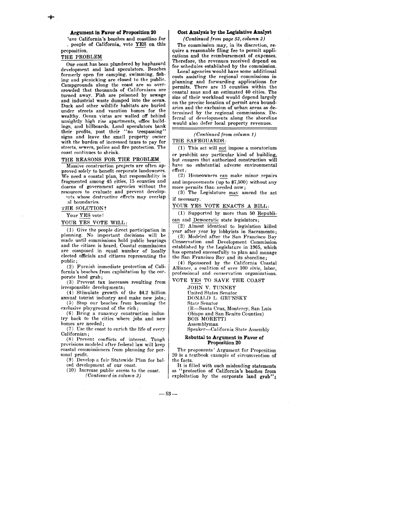Argument in Favor of Proposition 20 ~ave California's beaches and coastline for

\_ people of California, vote YES on this proposition.

## THE PROBLEM

Our coast has been plundered by haphazard development and land speculators. Beaches formerly open for camping, swimming, fishing and picnicking are closed to the public. Campgrounds along the coast are so overcrowded that thousands of Californians are turned away. Fish are poisoned by sewage and industrial waste dumped into the ocean. Duck and other wildlife habitats are buried under streets and vacation homes for the wealthy. Ocean vistas are walled off behind unsightly high rise apartments, office buildings, and billboards. Land speculators bank their profits, post their "no trespassing" signs and leave the small property owner with the burden of increased taxes to pay for streets, sewers, police and fire protection. The coast continues to shrink.

#### THE REASONS FOR THE PROBLEM

Massive construction projects are often approved solely to benefit corporate landowners. We need a coastal plan, but responsibility is fragmented among 45 cities, 15 counties and dozens of government agencies without the resources to evaluate and prevent develop-

'nts whose destructive effects may overlap al boundaries.

THE SOLUTION?

Your YES vote!

YOUR YES VOTE WILL:

(1) Give the people direct participation in planning. No important decisions will be made until commissions hold public hearings and the eitizen is heard. Coastal commissions are composed in equal number of locally elected officials and citizens representing the public;

(2) Furnish immediate protection of California's beaches from exploitation by the corporate land grab;

(3) Prevent tax increases resulting from irresponsible developments;

(4) Stimulate growth of the \$4.2 billion annual tourist industry and make new jobs; (;)) Stop our beaches from becoming the

exclusive playground of the rich; (6) Bring a runaway construction indus-

try back to the cities where jobs and new homes are needed;

 $(7)$  Use the coast to enrich the life of every Californian;

(8) Prevent conflicts of interest. Tough provisions modeled after federal law will keep coastal commissioners from planning for personal profit.

(9) Develop a fair Statewide Plan for balced development of our coast.

(10) Increase public access to the coast. *(Continued in column 2)* 

## Cost Analysis by the Legislative Analyst

*(Continued frorn page* 52, *column 2)* 

The commission may, in its discretion, require a reasonable filing fee to permit applications and the reimbursement of expenses. Therefore, the revenues received depend on fee schedules established by the commission.

Local agencies would have some additional costs assisting the regional commissions in planning and forwarding applications for permits. There are 15 counties within the coastal zone and an estimated 40 cities. The size of their workload would depend largely on the precise location of permit area boundaries and the exclusion of urban areas as determined by the regional commissions. Deferral of developments along the shoreline would also defer local property revenues.

*(Continued from column 1)*  THE SAFEGUARDS:

(1) This act will not impose a moratorium or prohibit any particular kind of building, but ensures that authorized construction will have no substantial adverse environmental effect;

 $(2)$  Homeowners can make minor repairs and improvements (up to \$7,500) without any more permits than needed now;

(3) The Legislature may amend the act if necessary.

#### YOUR YES VOTE ENACTS A BILL:

(1) Supported by more than 50 Republican and Democratic state legislators;

-(2) Almost identical to legislation killed year after year by lobbyists in Sacramento; (3) Modeled after the San Francisco Bay Conservation and Development Commission

established by the Legislature in 1965, which has operated successfully to plan and manage the San Francisco Bay and its shoreline;

(4) Sponsored by the California Coastal Alliance, a coalition of over 100 civic, labor, professional and conservation organizations.

VOTE YES TO SAVE THE COAST

JOHN V. TUNNEY

United States Senator

DONALD L. GRUNSKY

State Senator

(R-Santa Cruz, Monterey, San Luis

Obispo and San Benito Counties)

BOB MORETTI Assemblyman

Speaker-California State Assembly

Rebuttal to Argument in Favor of

## Proposition 20

The proponents' Argument for Propcsition 20 is a textbook example of circumvention of the facts.

It is filled with such misleading statements as "protection of California's beaches from exploitation by the corporate land grab":

 $-53-$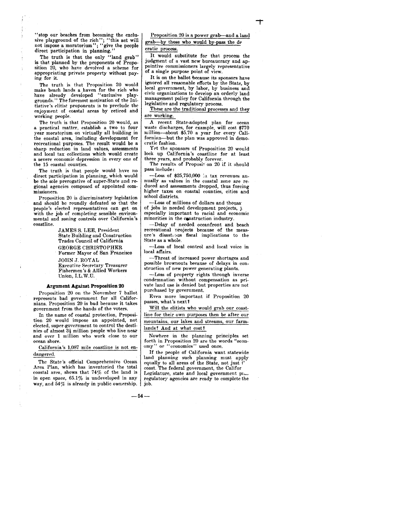The truth is that the only "land grab" is that planned by the proponents of Proposition 20, who have devolved a scheme for appropriating private property without paying for it.

The truth is that Proposition 20 would make beach lands a haven for the rich who have already deveioped "exclusive playgrounds." The foremost motivation of the Initiative's elitist proponents is to preclude the enjoyment of coastal areas by retired and working people.

The truth is that Proposition 20 would, as a practical matter, establish a two to four year moratorium on virtually all building in the coastal area, including development for recreational purposes. The result would be a sharp reduction in land values, assessments and local tax collections which would create a severe economic depression in every one of the 15 coastal counties.

The truth is that people would have no direct participation in planning, which would be the sole prerogative of super-State and regional agencies composed of appointed commissioners.

Proposition 20 is discriminatory legislation and should be roundly defeated so that the people's elected representatives can get on with the job of completing sensible environmental and zoning controls over California's coastline.

> JAMES S. LEE, President State Building and Construction Trades Council of California GEORGE CHRISTOPHER Former Mayor of San Francisco

JOHN J. ROYAL Executive Secretary Treasurer Fishermen's & Allied Workers Union, I.L.W.U.

#### Argument Against Proposition 20

Proposition 20 on the November 7 ballot represents bad government for all Californians. Proposition 20 is bad because it takes government from the hands of the voters.

In the name of coastal protection, Proposition 20 would impose an appointed, not elected, super-government to control the destinies of almost  $3\frac{1}{2}$  million people who live near and over 1 million who work close to our ocean shore.

California's 1,087 mile coastline is not endangered.

The State's official Comprehensive Ocean Area Plan, which has inventoried the total coastal area, shows that  $74\%$  of the land is in open space, 65.1% is undeveloped in any way, and  $54\%$  is already in public ownership.

Proposition 20 is a power grab-and a land grab-by those who would by-pass the de

#### cratic process.

It would substitute for that process the judgment of a vast new bureaucracy and appointive commissioners largely representative of a single purpose point of view.

It is on the ballot because its sponsors have ignored all reasonable efforts by the State, by local government, by labor, by business and civic organizations to develop an orderly land management policy for California through the legislative and regulatory process.

These are the traditional processes and they are working.

A recent State-adopted plan for ocean waste discharges, for example, will cost \$770 million-about \$5.70 a year for every Californian-but the plan was approved in democratic fashion.

Yet the sponsors of Proposition 20 would lock up California's coastline for at least three years, and probably forever.

The results of Proposit on 20 if it should pass include:

-Loss of \$25,750,000 in tax revenues an-<br>nually as values in the coastal zone are reduced and assessments dropped, thus forcing higher taxes on coastal counties, cities and school districts.

-Loss of millions of dollars and thousa' of jobs in needed development projects, j, especially important to racial and economic minorities in the construction industry.

-Delay of needed oceanfront and beach recreational projects because of the measure's disastrous fiscal implications to the State as a whole.

-Loss of local control and local voice in local affairs.

-Threat of increased power shortages and possible brownouts because of delays in construction of new power generating plants.

-Loss of property rights through inverse condemnation without compensation as private land use is denied but properties are not purchased by government.

Even more important if Proposition 20 passes, what's next Y

Will the elitists who would grab our coastline for their own purposes then be after our mountains, our lakes and streams, our farmlands? And at what cost?

Nowhere in the planning principles set forth in Proposition 20 are the words "econ**omy" or "economics" used once.** 

If the people of California want statewide land planning such planning must apply equally to all areas of the State, not just t' coast. The federal government, the Califor Legislature, state and local government  $p_1$ . regulatory agencies are ready to complete the job.

 $-54-$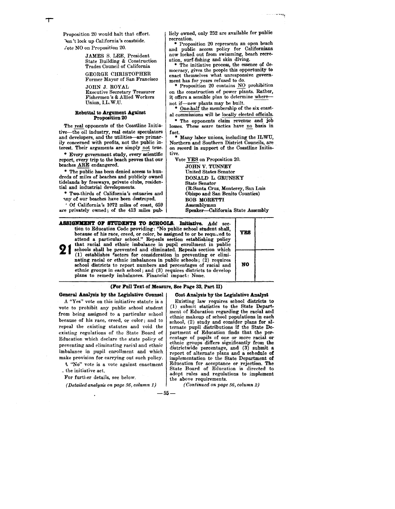Proposition 20 would halt that effort. Ion't lock up California's coastside. Vote NO on Proposition 20.

> JAMES S. LEE, President State Building & Construction Trades Council of California GEORGE CHRISTOPHER

Former Mayor of San Francisco JOHN J. ROYAL Executive Secretary Treasurer

Fishermen's & Allied Workers Union, I.L.W.U.

#### Rebuttal to Argument Against Proposition 20

The real opponents of the Coastline Initiative-the oil industry, real estate speculators and developers, and the utilities-are primarily concerned with profits, not the public interest. Their arguments are simply not true.

• Every government study, every scientific report, every trip to the beach proves that our beaches ARE endangered.

• The public has been denied access to hundreds of miles of beaches and publicly owned tidelands by freeways, private clubs, residential and industrial developments.

• Two-thirds of California's estuaries and 'Uly of our beaches have been destroyed.

, Of California's 1072 miles of coast, 659 are privately owned; of the 413 miles pub-

licly owned, only 252 are available for public

\* Proposition 20 represents an open beach and public access policy for Californians now locked out from swimming, beach recreation, surf-fishing and skin diving.

The initiative process, the essence of democracy, gives the people this opportunity to enact themselves what unresponsive government has for years refused to do.

• Proposition 20 contains NO prohibition on the construction of power plants. Rather, it offers a sensible plan to determine wherenot if—new plants may be built.<br>
\* One-half the membership of the six coast-

al commissions will be locally elected officials.

• The opponents claim revenue and job losses. These scare tactics have no basis in fact.

• Many labor unions, including the ILWU, Northern and Southern District Councils, are on record in support of the Coastline Initiative.

Vote YES on Proposition 20.

JOHN V. TUNNEY United States Senator DONALD L. GRUNSKY State Senator (R-Santa Cruz, Monterey, San Luis Obispo and San Benito Counties) BOB MORETTI Assemblyman Speaker-California State Assembly

**ASSIGNMENT OF STUDENTS TO SCHOOLS. Initiative.** Add section to Education Code providing: "No public school student shall, because of his race, creed, or color, be assigned to or be required to  $\begin{bmatrix} Y & S \end{bmatrix}$ attend a particular school." Repeals section eatablishing policy **21** that racial and ethnic imbalance in pupil enrollment in public schools shall be prevented and eliminated. Repeals section which (1) establishes factors for consideration in preventing or eliminating racial or ethnic i schools shall be prevented and eliminated. Repeals section which school districts to report numbers and percentages of racial and ethnic groups in each school; and (3) requires districts to develop plans to remedy imbalances. Financial impact: None.

#### (For Full Text of Measure, See Page 33, Part II)

General Analysis by the Legislative Counsel

A "Yes" vote on this initiative statute isa vote to prohibit any public school student from being assigned to a particular school because of his race, creed, or color; and to repeal the existing statutes and void the existing regulations of the State Board of Education which declare the state policy of preventing and eliminating racial and ethnic imbalance in pupil enrollment and which make provision for carrying out such policy.

<\. "No" vote is a vote against enactment <sup>~</sup>the initiative act.

For further details, see below.

*(Detailed analysis on page* 56, *column 1)* 

Cost Analysis by the Legislative Analyst Existing law requires school districts to

(1) submit statistics to the State Departmerit of Education regarding the racial and ethnic makeup of school populations in each school, (2) study and consider plans for alternate pupil distributions if the State Department of Education finds that the percentage of pupils of one or more racial or ethnic groups differs significantly from the districtwide percentage, and (3) submit a report of alternate plans and a schedule of implementation to the State Department of Education for acceptance or rejection. The State Board of Education is directed to adopt rules and regulations to implement the above requirements.

*(Continued on page* 56, *column 2)* 

-55-

| <b>YES</b> | ï |
|------------|---|
| NO         |   |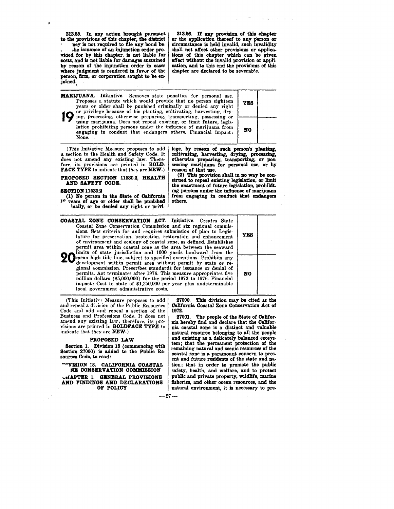313.55. In any action brought pursuant to the provisions of this chapter, the district ney is not required to file any bond be-• ;he issuance of an injunction order provided for by this chapter, is not liable for costs, and is not liable for damages sustained by reason of the injunction order in cases where judgment is rendered in favur of the person, firm, or corporation sought to be enjoined. \

*313.56. U* any provision of this chapter circumstance is held invalid, such invalidity shall not affect other provisions or applications of this chapter which can be given effect without the invalid provision or application, and to this end the provisions of this chapter are declared to be severable.

| <b>MARIJUANA.</b> Initiative. Removes state penalties for personal use.<br>Proposes a statute which would provide that no person eighteen<br>years or older shall be punished criminally or denied any right<br>or privilege because of his planting, cultivating, harvesting, dry-<br>ing, processing, otherwise preparing, transporting, possessing or<br>using marijuana. Does not repeal existing, or limit future, legis-<br>lation prohibiting persons under the influence of marijuana from<br>engaging in conduct that endangers others. Financial impact:<br>None. |  |  |
|-----------------------------------------------------------------------------------------------------------------------------------------------------------------------------------------------------------------------------------------------------------------------------------------------------------------------------------------------------------------------------------------------------------------------------------------------------------------------------------------------------------------------------------------------------------------------------|--|--|
|                                                                                                                                                                                                                                                                                                                                                                                                                                                                                                                                                                             |  |  |

(This Initiative Measure proposes to add a section to the Health and Safety Code. It does not amend any existing law. Therefore, its provisions are printed in BOLD-FACE TYPE to indicate that they are NEW.)

lege, by reason of such person's planting, cultivating, harvesting, drying, processing, otherwise preparing, transporting, or pos-<br>sessing marijuana for personal use, or by

PROPOSED SEOTION 11530.2, HEALTH AND SAFETY OODE.

#### SEOTION 11530.2

ŧ

(1) No person in the State of Oalifornia. vears of age or older shall be punished inally, or be denied any right or privi-

reason of that use.<br>
(2) This provision shall in no way be con-<br>
strued to repeal existing legislation, or limit the enactment of future legislation, prohibiting persons under the influence of marijuana from engaging in conduct that endangers others.

OOASTAL ZONE OONSERVATION AOT. Initiative. Creates State Coastal Zone Conservation Commission and six regional commissions. Sets criteria for and requires submission of plan to Legislature for preservation, protection, restoration and enhancement of environment and ecology of coastal zone, as defined. Establishes permit area within coastal zone as the area between the seaward YES 20 mean high tide line, subject to specified exceptions. Prohibits any development within permit area without permit by state or regional commission. Prescribes standards for issuance or denial of permits. Act terminates after 1976. This measure appropriates five million dollars (\$5,000,000) for the period 1973 to 1976. Financial impact: Cost to state of \$1,250,000 per year plus undeterminable local government administrative costs. NO

(This Initiativ· Measure proposes to add and repeal a division of the Public Resources Code and add and repeal a section of the Business and Professions Code. It does not amend any existing law; therefore, its provisions are printed in BOLDFAOE TYPE to indicate that they are NEW.)

#### PROPOSED LAW

Section 1. Division 18 (commencing with Section 27000) is added to the Public Resources Oode, to read:

~'VISION 1.8. CALIFORNIA OOASTAL NE CONSERVATION COMMISSION

UHAPTER 1. GENERAL PROVISIONS AND FINDINGS AND DECLARATIONS OF POLIOY

27000. This division may be cited as the Oalifornia Ooastal Zone Conservation Act of 1972.

27001. The people of the State of Oalifornia hereby find and declare that the Oalifornia coastal zone is a distinct and valuable natural resource belonging to all the people and existing as a delicately balanced ecosystem; that the permanent protection of the remaining natural and scenic resources of the coastal zone is a paramount concern to present and future residents of the state and nation; that in order to promote the public safety, health, and welfare, and to protect public and private property, wildlife, marine fisheries, and other ocean resources, and the natural environment, it is necessary to pre-

 $-27-$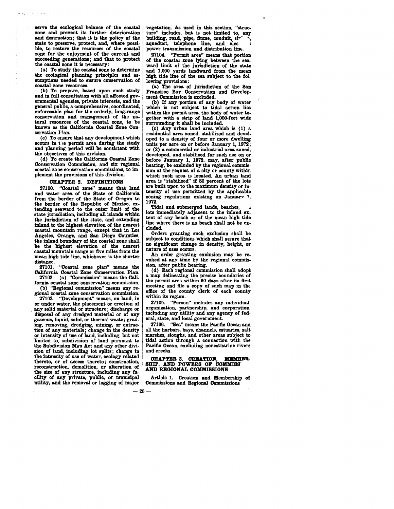serve the ecological balance of the coastal zone and prevent its further deterioration and destruction; that it is the policy of the state to preserve, protect, and, where possible, to restore the resources of the coastal zone for the enjoyment of the current and succeeding generations; and that to protect the coastal zone it is necessary:

(a) To study the coastal zone to determine the ecological planning principles and as-<br>sumptions needed to ensure conservation of<br>coastal zone resources.

(b) To prepare, based upon such study and in full consultation with all affected governmental agencies, private interests, and the general public, a comprehensive, coordinated, enforceable plan for the orderly, long-range conservation and management of the na- tural resources of the coastal zone, to be known as the California Coastal Zone Con-

servation Flan.<br>(c) To ensure that any development which occurs in the permit area during the study and planning period will be consistent with the objectives of this division.

(d) To create the California Coastal Zone Conservation Commission, and six regional coastal zone conservation commissions, to implement the provisions of this division.

#### CHAPTER 2. DEFINITIONS

27100. "Coastal zone" means that land and water area of the State of California from the border of the State of Oregon to<br>the border of the Republic of Mexico, extending seaward to the outer limit of the state jurisdiction, including all islands within the jurisdiction of the state, and extending inland to the highest elevation of the nearest coastal mountain range, except that in Los Angeles, Orange, and San Diego Counties, the inland boundary of the coastal zone shall. be the highest elevation of the nearest coastal mountain range or five miles from the mean high tide line, whichever is the shorter distance.

27101. "Coastal zone plan" means the California Coastal Zone Conservation Plan. 27102. (a) "Commission" means the Cali-

fornia coastal zone conservation commission.

gional coastal zone conservation commission.<br>"27103. "Development" means, on land, in

or under water, the placement or erection of any solid material or structure; discharge or disposal of any dredged material or of any gaseous, liquid, solid, or thermal waste; grading, removing, dredging, mining, or extrac-<br>tion of any materials; change in the density<br>or intensity of use of land, including, but not or intensity of use of land, including, but not<br>limited to, subdivision of land pursuant to the Subdivision Map Act and any other division of land, including lot splits; change in the intensity of use of water, ecology related thereto, or of access thereto; construction, reconstruction, demolition, or alteration of the size of any structure, including any facility of any private, public, or municipal Article 1. Creation and Membership of utility, and the removal or logging of major Commissions and Regional Commissions

vegetation. As used in this section, "strueture" includes, but is not limited to, any building, road, pipe, flume, conduit, sir aqueduct, telephone line, and elec power transmission and distribution line.

27104. "Permit area" means that portion of the coastal zone lying between the sea- ward limit of the jurisdiction of the state and 1,000 yards landward from the mean high tide line of the sea subject to the fol-

(a) The area of jurisdiction of the San Francisco Bay Conservation and Development Commission is excluded.

(b) If any portion of any body of water whioh is not subject to tidal action lies within the permit area, the body of water together with a strip of land l,OOO-feet wide surrounding it shall be included.<br>(c) Any urban land area which is (1) a

residential area zoned, stabilized and developed to a density of four or more dwelling units per acre on or before January 1, 1972; or (2) a commercial or industrial area zoned, developed, and stabilised for such use on or before January 1, 1972, may, after public hearing, be excluded by the regional commission at the request of a city or county within which such area is located. An urban land area is "stabilised" if 80 percent of the lots are built upon to the maximum density or intensity of use permitted by the applicable zoning regulations existing on Januarv 1, 1972.<br>Tidal and submerged lands, beaches.

lots immediately adjacent to the inland ex-<br>tent of any beach or of the mean high tide line where there is no beach shall not be ex-<br>cluded.

Orders granting such exclusion shall be no significant change in density, height, or nature of uses occurs.<br>An order granting exclusion may be re-<br>voked at any time by the regional commis-

sion, after public hearing.<br>(d) Each regional commission shall adopt

a map delineating the precise boundaries of the permit area within 60 days after its ftrst meeting and file a copy of such map in the office of the county clerk of each county within its region.

27105. "Person" includes any individual, organization, partnership, and corporation, including any utility and any agency of federal, state, and local government.

27106. "Sea" means the Pacific Ocean and all the harbors, bays, channels, estuaries, salt marshes, sloughs, and other areas subject to tidal action through a connection with the Pacific Ocean, excluding nonestuarine rivers and creeks.

#### CHAPTER 3. CREATION, MEMBER-SHIP, AND POWERS OF COMMISS .AND REGIONAL COMMISSIONS

jor | Commissions and Regional Commissions  $-28-$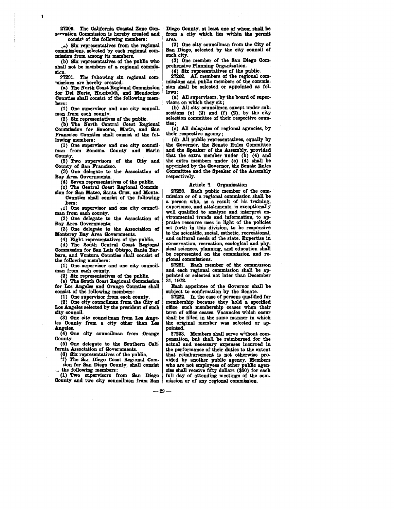27200. The California Coastal Zone Conservation Commission is hereby created and consist of the following members:

'1

, .. ) Six representatives from the regional commissions, selected by each regional com- mission from among its members.

(b) Six representatives of the public who shall not be members of a regional commisskn.

27201. The following six regional com-<br>missions are hereby created:

(a) The North Coast Regional Commission for Del Norte, Humboldt, and Mendocino Counties shall consist of the following members:

(1) One supervisor and one city council- man from each county.

(2) Six representatives of the public.

(b) The North Central Coast Regional Commission for Sonoma, Marin, and San Francisco Counties shall consist of the fol-

lowing members:<br>(1) One supervisor and one city council man from Sonoma County and Marin County.

(2) Two supervisors of the City aad County of San Francisco.

(3) One delegate to the Association of Bay Area Governments.

 $(4)$  Seven representatives of the public.

(c) The Central Coast Regional Commission for San Mateo, Santa Cruz, and Monte-Counties shall consist of the following

.bers:

\1) One supervisor and one city coun<fl- man from each county. (2) One delegate to the Association of

Bay Area Governments. (3) One delegate to the Association of

Monterey Bay Area Governments.

(4) Eight representatives of the public. (d) The South Central Coast Regional Commission for San Luis Obispo, Santa Barbara, and Ventura Counties shall consist of the following members:

(1) One supervisor and one city council- man from each county.

(2) Six representatives of the public. (e) The South Coast Regional Commission for Los Angeles and Orange Counties shall consist of the following members:

(1) One supervisor from each county.

(2) One city councilman from the City of Loa Angeles selected by the president of such city council.

(3) One city councilman from Los Angeles County from a city other than Los Angeles.

(4) One city councilman from Orange County.

(5) One delegate to the Southern California Association of Governments.

(6) Six representatives of the public.<br>'f) The San Diego Coast Regional Comsian for San Diego County, shall consist \_. the following members:

(1) Two supervisors from San Diego County and two city councilmen from San Diego County, at least one of whom shall be from a city which lies within the permit area. (2) One city councilman from the City of

San Diego, selected by the city council of such city.

(3) One member of the San Diego Comprehensive Planning Organisation.

(4) Six representatives of the public. missions and public members of the commission ahall be selected or appointed as follows:

(a) All supervisors, by the board of supervisors on which they sit;

(b) All city councilmen except under subsections (e) (2) and (f) (2), by the city selection committee of their respective coun-<br>ties;

(c) All delegates of regional agencies, by their respective agency;

(d) All public representatives, equally by the Governor, the Senate Rules Committee and the Speaker of the Assembly, provided that the extra member under  $(b)$   $(4)$  and the extra members under (c) (4) shall be appcinted by the Governor, the Senate Rules Committee and the Speaker of the Assembly respectively.

#### Article 2. Organization

27220. Each public member of the com-<br>mission or of a regional commission shall be<br>a person who, as a result of his training, experience, and attainments, is exceptionally well qualified to analyze and interpret environmental trends and information, to appraise resource uses in light of the policies set forth in this division, to be responsive to the scientific, social, esthetic, recreational, and cultural needs of the state. Expertise in conservation, recreation, ecological and physical sciences, planning, and education shall be represented on the commission and re- gional commissions.

27221. Each member of the commission and each regional commission shall be appointed or selected not later than December 31,1972.

Each appointee of the Governor shall be subject to confirmation by the Senate.

27222. In the case of persons qualified for membership because they hold a specified office, such membership ceases when their<br>term of office ceases. Vacancies which occur shall be filled in the same manner in which the original member was selected or appointed.<br>27223. Members shall serve without com-

pensation, but shall be reimbursed for the actual and necessary expenses incurred in the performance of their duties to the extent that reimbursement is not otherwise provided by another public agency. Members who are not employees of other public agencies shall receive fifty dollars (\$50) for each mission or of any regional commission.

 $-29-$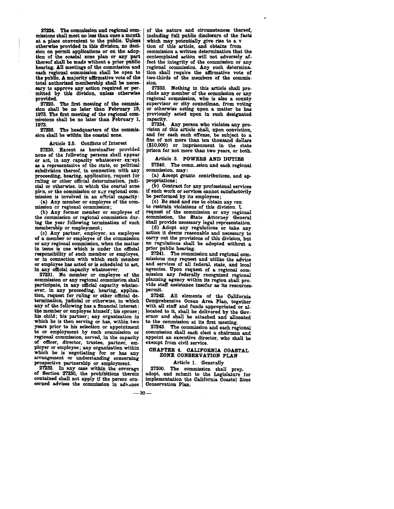27224. The commission and regional com-<br>missions shall meet no less than once a month at a place convenient to the public. Unless otherwise provided in this division, no decision on permit applications or on the adoption of the coastal zone plan or any part thereof shall be made without a prior public hearing. All meetings of the commission and each regional commission shall be open to the public. A majority affirmative vote of the total authorized membership shall be necessary to approve any action required or permitted by this division, unless otherwise provided.

27225. The first meeting of the commission shall be no later than February 15, 1973. The first meeting of the regional commissions shall be no later than February 1, 1973.

27226. The headquarters of the commission shall be within the coastal zone.

Article 2.5. Conflicts of Interest<br>27230. Except as hereinafter provided none of the following persons shall appear or act, in any capacity whatsoever except as a representative of the state, or political subdivision thereof, in connection with any proceeding, hearing, application, request for ruling or other offirial determination, judicial or otherwise, in which the coastal zone plan, or the commission or auy regional com-<br>mission is involved in an official capacity:

(a) Any member or employee of the com-<br>mission or regional commission;

(b) Any former member or employee of the commission or regional commission during the year following termination of such membership or employment;

(c) Any partner, employer. an employee of a member or employee of the commission or any regional commission, when the matter or any regional commission, when the matter<br>in issue is one which is under the official responsibility of such member or employee, or in connection with which such member or employee has acted or is scheduled to act, in any official capacity whatsoever.

27231. No member or employee of the commission or any regional commission shall participate, in any official capacity whatsoever, in any proceeding, hearing, application, request for ruling or other official determination, judicial or otherwise, in which any of the following has a financial interest: the member or employee himself; his spouse; his child; his partner; any organisation in which he is then serving or has, within two years prior to his selection or appointment to or employment by such commission or regional commission, served, in the capacity regional commission, served, in the capacity<br>of officer, director, trustee, partner, em-<br>ployer or employee; any organization within which he is negotiating for or has any arrangement or understanding concerning prospective partnership or employment.

27232. In any case within the coverage of Section 27230, the prohibitions therein contained shall not apply if the person concerned advises the commission in advance

of the nature and oiroumstanoes thereof, including full public disclosure of the facts tion of this article, and obtains from commission a written determination that the contemplated action will not adversely affect the integrity of the commission or any regional commission. Any such determination shall require the affirmative vote of two-thirds of the members of the commission.

27233. Nothing in this artiole shall preclude any member of the commission or any regional commission, who is also a county or otherwise acting upon a matter he has previously acted upon in such designated capacity.<br>27234.

Any person who violates any provision of this article shall, upon conviction, and for each such offense, be subject to a fine of not more than ten thousand dollars fine of not more than ten thousand dollars (\$10,000) or imprisonment in the state prison for not more than two years, or both.

#### Article 3. POWERS AND DUTIES

27240. The commission and each regional commission, may:

(a) Accept grants. contributions, and appropriations;

(b) Contract for any professional services if such work or services cannot satisfactorily be performed by its employees;

(c) Be sued and sue to obtain any ren to restrain violations of this division. '(. request of the commission or any regional commission, the State Attorney General shall provide necessary legal representation.

(d) Adopt any regulations or take any action it deems reasonable and necessary to carry out the provisions of this division, but carry out the provisions of this division, but no regulations shall be adopted without a prior public hearing.

27241. The commission and regional com- missions may request and utilize the advice missions may request and utilize the advice<br>and services of all federal, state, and local<br>agencies. Upon request of a regional commission any federally recognized regional planning agency within its region shall provide staff assistance insofar as its resources-<br>permit.

27242. All elements of the California Comprehensive Ocean Area. Plan, together with all staff and funds appropriated or allocated to it, shall be delivered by the Governor and shall be attached and allocated to the commission at its first meeting.

27243. The commission and each regional commission shall each elect a chairman and appoint an executive director, who shall be exempt from civil service.

# CHAPTER 4. CALIFORNIA. COASTAL ZONE CONSERVATION PLAN

#### Article 1. Generally

27300. The commission shall prep. adopt, and submit to the Legislature for implementation the California Coastal Zone Conservation Plan.

 $-30-$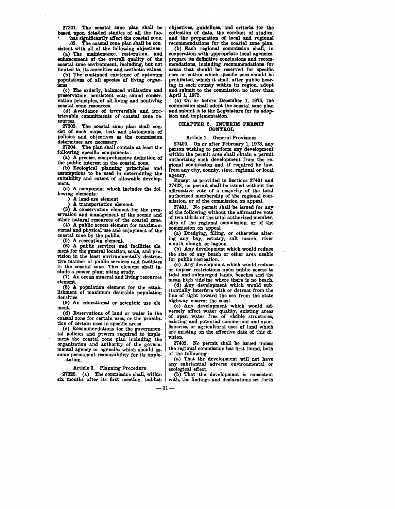27301. The coastal zone plan shall be based upon detailed studies of all the fac-<br>'hat significantly affect the coastal zone.

 $\Omega$ 2. The coastal zone plan shall be con- sistent with all of the following objectives:

(a) The maintenance, restoration, and enhancement of the overall quality of the coastal zone environment, including, but not limited to, its amenities and aesthetic values.

(b) The continued existence of optimum populations of all species of living organisms.

(c) The orderly, balanced utilization and preservation, consistent with sound conservation principles, of all living and nonliving coastal zone resources.

(d) Avoidance of irreversible and irretrievable commitments of coastal zone re- sources.

27303. The coastal zone plan shall con- sist of such maps, text and statements of policies and objectives as the commission determines are necessary.

27304. The plan shall contain at least the following specific components:

(a) A precise, comprehensive definition of the public interest in the coastal zone.

(b) Ecological planning principles and assumptions to be used in determining the suitability and extent of allowable development.

(c) A component which includes the following elements:

-) A land-use element.

) A transportation element.

(3) A conservation element for the preservation and management of the scenic and other natural resources of the coastal zone.

 $(4)$  A public access element for maximum visual and physical use and enjoyment of the coastal zone by the public.

(5) A recreation element.

 $(6)$  A public services and facilities element for the general location, scale, and provision in the least environmentally destructive manner of public services and facilities in the coastal zone. This element shall include a power plant siting study.

 $(7)$  An ocean mineral and living resources element.

 $(8)$  A population element for the establishment of maximum desirable population densities.

(9) An educational or scientific use element.

(d) Reservations of land or water in the coastal zone for certain uses, or the prohibi-

(e) Recommendations for the governmental policies and powers required to implement the coastal zone plan including the organization and authority of the governsume permanent responsibility for its impleatation.

objectives, guidelines, and criteria. for the collection of data., the conduct of studies, and the preparation of local and regional

recommendations for the coastal zone plan. (b) Each regional commission shall, in cooperation with appropriate local agencies, mendations, including recommendations for areas that should be reserved for specific uses or within which specific uses should be prohibited, which it shall, after public hearing in each county within its region, adopt and submit to the commission no later than April 1, 1975.

(c) On or before December 1, 1975, the commission shall adopt the coastal zone plan and submit it to the Legislature for its adoption and implementation:

#### CHAPTER 5. INTERIM PERMIT CONTROL

#### Article 1. General Provisions

27400. On or after February 1, 1973, any person wishing to perform any development within the permit area shall obtain a permit authorizing such development from the regional commission and, if required by law, from any city, county, state, regional or local agency.

Except as provided in Sections 27401 and 27422, no permit shall be issued without the affirmative vote of a majority of the total authorized membership of the regional com- mission, or of the commission on appeal.

27401. No permit shall be issued for any of the following without the affirmative vote of two-thirds of the total authorized membership of the regional commission, or of the commission on appeal:

(a) Dredging, filling, or otherwise altering any bay, estuary, salt marsh, river mouth, slough, or lagoon.

(b) Any development which would reduce the size of any beach or other area usable for public recreation.

(c) Any development which would reduce or impose restrictions upon public access to<br>tidal and submerged lands, beaches and the mean high tideline where there is no beach.

(d) Any development which would substantially interfere with or detract from the line of sight toward the sea from the state highway nearest the coast.

(e) Any development which would adversely affect water quality, existing areas versely affect water quality, existing areas of open water free of visible structures, existing and potential commercial and sport fisheries, or agricultural uses of land which are existing on the effective date of this division.

27402. No permit shall be issued unless the regional commission has first found, both of the following:

(a) That the development will not have any substantial adverse environmental or<br>
27320. (a) The commission shall, within (b) That the development is consistent

27320. (a) The commission shall, within (b) That the development is consistent six months after its first meeting, publish with, the findings and declarations set forth with, the findings and declarations set forth

 $-31-$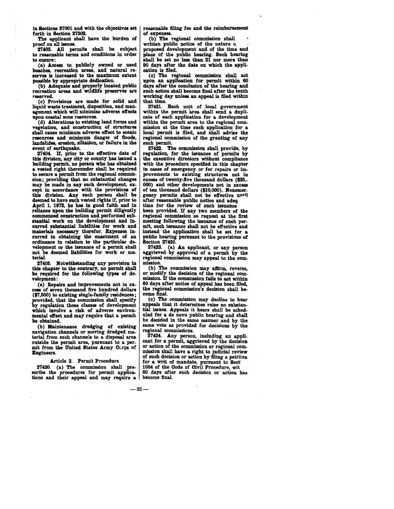in Sections 27001 and with the objectives set forth in Section 2730a.

The applicant shall have the burden of proof on all issues.

27403. All permits shall be subject to reasonable terms and conditions in order to ensure:

(a) Access to publicly owned or used<br>beaches, recreation areas, and natural reserves is increased to the maximum extent possible by appropriate dedication.

(b) Adequate and properly located public recreation areas and wildlife preserves are reserved.

(c) Provisions are made for solid and agement which will ninimize adverse effects upon coastal zone resources.

(d) Alterations to existing land forms and vegetation, and construction of structures resources and minimum danger of floods, landslides, erosion, siltation, or failure in the event of earthquake.

27404. If, prior to the effective date of this division, any city or county has issued a building permit, no person who has obtained a vested right thereunder shall be required to secure a permit from the regional commission; providing that no substantial changes may be made in any such development, except in accordance with the provisions of this division. Any such person shall be deemed to have such vested rights if, prior to April 1, 1972, he has in good faith and in reliance upon the building permit diligently commenced construction and performed substantial work on the development and in-curred substantial liabilities for work and materials necessary therefor. Expenses in-curred in obtaining the enactment of an ordinance in relation to the particular development or the issuance of a permit shall not be deemed liabilities for work or ma- terial.

27405. Notwithstanding any provision in this chapter to the contrary, no permit shall be required for the following types of development:

(a) Repairs and improvements not in ex-<br>ss of seven thousand five hundred dollars (\$7,500) to existing single-family residences; provided, that the commission shall specify by regulation those classes of development which involve a risk of adverse environmental effect and may require that a permit be obtained.

(b) Maintenance dredging of existing navigation channels or moving dredged material from such channels to a disposal area outside the permit area, pursuant to a permit from the United States Army Corps of Engineers.

#### Article 2. Permit Procedure

27420. (a) The commission shall prescribe the procedures for permit applica-tions and their appeal and may require a reasonable filing fee and the reimbursement of expenses.

(b) The regional commission shall written public notice of the nature of proposed development and of the time and place of the public hearing. Such hearing shall be set no less than 21 nor more than 90· days after the date on which the application is filed.

(c) The regional commission shall act upon an application for permit within 60 days after the conclusion of the hearing and such action shall become final after the tenth working day unless an appeal is filed within that time.

27421. Each unit of local government within the permit area shall send a duplicate of each application for a development within the permit area to the regional commission at the time such application for a local permit is filed, and shall advise the regional commission of the granting of any such permit.

27422. The commission shall provide, by regulation, for the issuance of permits by the executive directors without compliance with the procedure specified in this chapter in oases of emergency or for repairs or improvements to existing structures not in excess of twenty-five thousand dollars (\$25,-000) and other developments not in excess of ten thousand dollars (\$10,000). Nonemergency permits shall not be effective until after reasonable public notice and adeq time for the review of such issuance been provided. If any two members of the regional commission so request at the first meeting following the issuance of such permit, such issuance shall not be effective and instead the application shall be set for a public hearing pursuant to the provisions of Section 27420.

27423. (a) An applicant, or any person aggrieved-by approval of a permit by the regional commission may appeal to the com-<br>mission.<br>(b) The commission may affirm, reverse.

or modify the decision of the regional com-<br>mission. If the commission fails to act within 60 days after notice of appeal has been tiled, the regional commission's decision shall be· come final.

(c) The commission may decline to hear appeals that it determines raise no substantial issues. Appeals it hears shall be sched· uled for a de novo public hearing and shall be decided in the same manner and by the same vote as provided for decisions by the regional commissions.

27424. Any person, including an applicant for a permit, aggrieved by the decision or action of the commission or regional com-<br>mission shall have a right to judicial review of such decision or action by filing a petition for a writ of mandate, pursuant to Sect 1084 of the Code of Civil Procedure, wit 60 days after such decision or action has become final.

 $-32-$